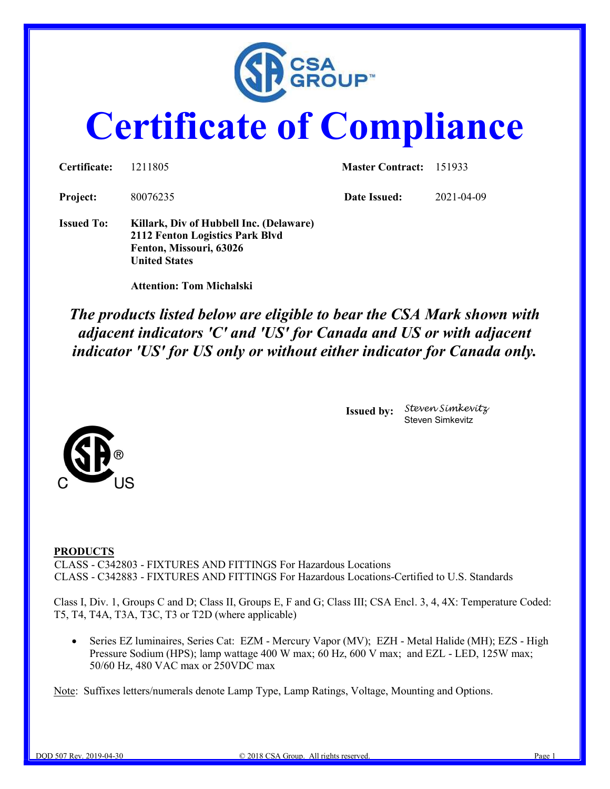

# Certificate of Compliance

| Certificate:      | 1211805                                                                                                                       | <b>Master Contract:</b> 151933 |            |  |
|-------------------|-------------------------------------------------------------------------------------------------------------------------------|--------------------------------|------------|--|
| Project:          | 80076235                                                                                                                      | Date Issued:                   | 2021-04-09 |  |
| <b>Issued To:</b> | Killark, Div of Hubbell Inc. (Delaware)<br>2112 Fenton Logistics Park Blvd<br>Fenton, Missouri, 63026<br><b>United States</b> |                                |            |  |

Attention: Tom Michalski

The products listed below are eligible to bear the CSA Mark shown with adjacent indicators 'C' and 'US' for Canada and US or with adjacent indicator 'US' for US only or without either indicator for Canada only.

> Issued by: Steven Simkevitz Steven Simkevitz



#### PRODUCTS

CLASS - C342803 - FIXTURES AND FITTINGS For Hazardous Locations CLASS - C342883 - FIXTURES AND FITTINGS For Hazardous Locations-Certified to U.S. Standards

Class I, Div. 1, Groups C and D; Class II, Groups E, F and G; Class III; CSA Encl. 3, 4, 4X: Temperature Coded: T5, T4, T4A, T3A, T3C, T3 or T2D (where applicable)

Series EZ luminaires, Series Cat: EZM - Mercury Vapor (MV); EZH - Metal Halide (MH); EZS - High Pressure Sodium (HPS); lamp wattage 400 W max; 60 Hz, 600 V max; and EZL - LED, 125W max; 50/60 Hz, 480 VAC max or 250VDC max

Note: Suffixes letters/numerals denote Lamp Type, Lamp Ratings, Voltage, Mounting and Options.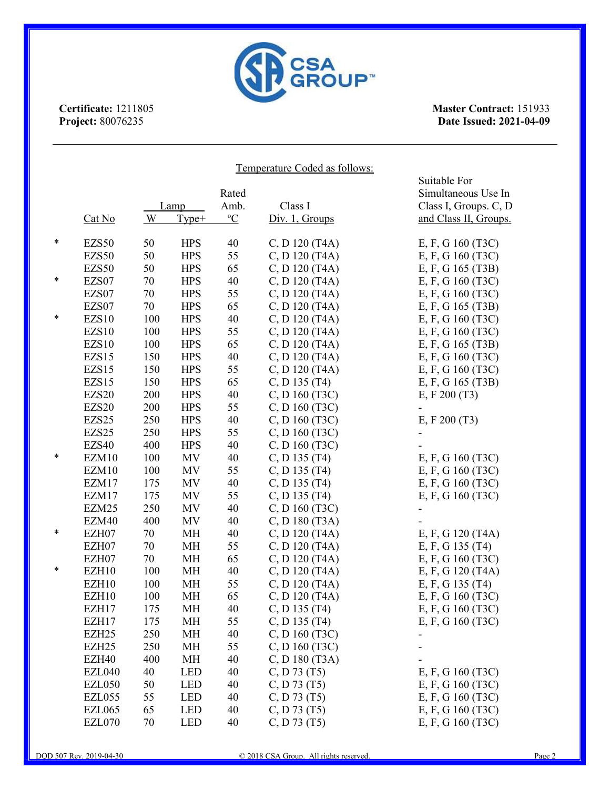

| <b>CSA<br/>GROUP</b> ™<br>Certificate: 1211805<br><b>Master Contract: 151933</b><br>Project: 80076235<br>Date Issued: 2021-04-09 |                   |     |            |                |                               |                                     |  |  |
|----------------------------------------------------------------------------------------------------------------------------------|-------------------|-----|------------|----------------|-------------------------------|-------------------------------------|--|--|
|                                                                                                                                  |                   |     |            |                | Temperature Coded as follows: |                                     |  |  |
|                                                                                                                                  |                   |     |            | Rated          |                               | Suitable For<br>Simultaneous Use In |  |  |
|                                                                                                                                  |                   |     | Lamp       | Amb.           | Class I                       | Class I, Groups. C, D               |  |  |
|                                                                                                                                  | Cat No            | W   | Type+      | $\mathrm{^oC}$ | Div. 1, Groups                | and Class II, Groups.               |  |  |
|                                                                                                                                  | EZS50             | 50  | <b>HPS</b> | 40             | C, D 120 (T4A)                | E, F, G 160 (T3C)                   |  |  |
|                                                                                                                                  | EZS50             | 50  | <b>HPS</b> | 55             | C, D 120 (T4A)                | E, F, G 160 (T3C)                   |  |  |
|                                                                                                                                  | EZS50             | 50  | <b>HPS</b> | 65             | C, D 120 (T4A)                | E, F, G 165 (T3B)                   |  |  |
|                                                                                                                                  | EZS07             | 70  | <b>HPS</b> | 40             | C, D 120 (T4A)                | E, F, G 160 (T3C)                   |  |  |
|                                                                                                                                  | EZS07             | 70  | <b>HPS</b> | 55             | C, D 120 (T4A)                | E, F, G 160 (T3C)                   |  |  |
|                                                                                                                                  | EZS07             | 70  | <b>HPS</b> | 65             | C, D 120 (T4A)                | E, F, G 165 (T3B)                   |  |  |
|                                                                                                                                  | EZS10             | 100 | <b>HPS</b> | 40             | C, D 120 (T4A)                | E, F, G 160 (T3C)                   |  |  |
|                                                                                                                                  | EZS10             | 100 | <b>HPS</b> | 55             | C, D 120 (T4A)                | E, F, G 160 (T3C)                   |  |  |
|                                                                                                                                  | EZS10             | 100 | <b>HPS</b> | 65             | C, D 120 (T4A)                | E, F, G 165 (T3B)                   |  |  |
|                                                                                                                                  | EZS15             | 150 | <b>HPS</b> | 40             | C, D 120 (T4A)                | E, F, G 160 (T3C)                   |  |  |
|                                                                                                                                  | EZS15             | 150 | <b>HPS</b> | 55             | C, D 120 (T4A)                | E, F, G 160 (T3C)                   |  |  |
|                                                                                                                                  | EZS15             | 150 | <b>HPS</b> | 65             | $C, D$ 135 (T4)               | E, F, G 165 (T3B)                   |  |  |
|                                                                                                                                  | <b>EZS20</b>      | 200 | <b>HPS</b> | 40             | C, D 160 (T3C)                | E, F, 200(T3)                       |  |  |
|                                                                                                                                  | EZS20             | 200 | <b>HPS</b> | 55             | C, D 160 (T3C)                |                                     |  |  |
|                                                                                                                                  | EZS25             | 250 | <b>HPS</b> | 40             | C, D 160 (T3C)                | E, F, 200(T3)                       |  |  |
|                                                                                                                                  | EZS25             | 250 | <b>HPS</b> | 55             | C, D 160 (T3C)                |                                     |  |  |
|                                                                                                                                  | EZS40             | 400 | <b>HPS</b> | 40             | C, D 160 (T3C)                |                                     |  |  |
|                                                                                                                                  | EZM10             | 100 | MV         | 40             | $C, D$ 135 (T4)               | E, F, G 160 (T3C)                   |  |  |
|                                                                                                                                  | EZM10             | 100 | MV         | 55             | $C, D$ 135 (T4)               | E, F, G 160 (T3C)                   |  |  |
|                                                                                                                                  | EZM17             | 175 | MV         | 40             | $C, D$ 135 (T4)               | E, F, G 160 (T3C)                   |  |  |
|                                                                                                                                  | EZM17             | 175 | <b>MV</b>  | 55             | C, D 135 (T4)                 | E, F, G 160 (T3C)                   |  |  |
|                                                                                                                                  | EZM25             | 250 | MV         | 40             | C, D 160 (T3C)                |                                     |  |  |
|                                                                                                                                  | EZM40             | 400 | MV         | 40             | C, D 180 (T3A)                |                                     |  |  |
|                                                                                                                                  | EZH07             | 70  | MH         | 40             | C, D 120 (T4A)                | E, F, G 120 (T4A)                   |  |  |
|                                                                                                                                  | EZH07             | 70  | MH         | 55             | C, D 120 (T4A)                | E, F, G 135 (T4)                    |  |  |
|                                                                                                                                  | EZH07             | 70  | MH         | 65             | C, D 120 (T4A)                | E, F, G 160 (T3C)                   |  |  |
|                                                                                                                                  | EZH10             | 100 | MH         | 40             | C, D 120 (T4A)                | E, F, G 120 (T4A)                   |  |  |
|                                                                                                                                  | EZH10             | 100 | MH         | 55             | C, D 120 (T4A)                | E, F, G 135 (T4)                    |  |  |
|                                                                                                                                  | EZH10             | 100 | MH         | 65             | C, D 120 (T4A)                | E, F, G 160 (T3C)                   |  |  |
|                                                                                                                                  | EZH17             | 175 | MH         | 40             | $C, D$ 135 (T4)               | E, F, G 160 (T3C)                   |  |  |
|                                                                                                                                  | EZH17             | 175 | MH         | 55             | $C, D$ 135 (T4)               | E, F, G 160 (T3C)                   |  |  |
|                                                                                                                                  | EZH <sub>25</sub> | 250 | MH         | 40             | C, D 160 (T3C)                |                                     |  |  |
|                                                                                                                                  | EZH <sub>25</sub> | 250 | MH         | 55             | C, D 160 (T3C)                |                                     |  |  |
|                                                                                                                                  | EZH40             | 400 | МH         | 40             | C, D 180 (T3A)                |                                     |  |  |
|                                                                                                                                  | <b>EZL040</b>     | 40  | <b>LED</b> | 40             | C, D 73 (T5)                  | E, F, G 160 (T3C)                   |  |  |
|                                                                                                                                  | <b>EZL050</b>     | 50  | <b>LED</b> | 40             | C, D73(T5)                    | E, F, G 160 (T3C)                   |  |  |
|                                                                                                                                  | <b>EZL055</b>     | 55  | <b>LED</b> | 40             | C, D 73 (T5)                  | E, F, G 160 (T3C)                   |  |  |
|                                                                                                                                  | <b>EZL065</b>     | 65  | <b>LED</b> | 40             | C, D 73 (T5)                  | E, F, G 160 (T3C)                   |  |  |
|                                                                                                                                  |                   |     |            |                | C, D 73 (T5)                  |                                     |  |  |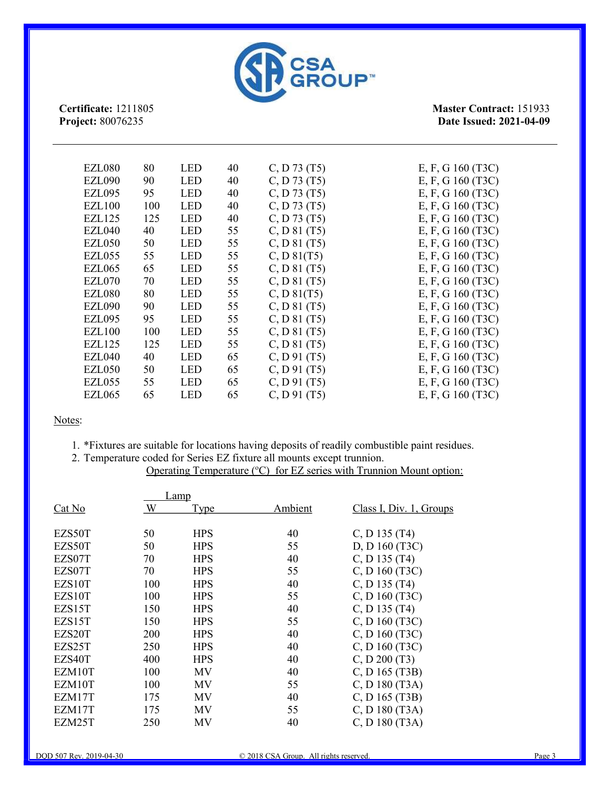

Master Contract: 151933 Date Issued: 2021-04-09

| <b>EZL080</b><br>80  | <b>LED</b> | 40 | C, D 73 (T5) | E, F, G $160(T3C)$ |
|----------------------|------------|----|--------------|--------------------|
| <b>EZL090</b><br>90  | <b>LED</b> | 40 | C, D 73 (T5) | E, F, G 160 (T3C)  |
| <b>EZL095</b><br>95  | <b>LED</b> | 40 | C, D 73 (T5) | E, F, G 160 (T3C)  |
| <b>EZL100</b><br>100 | <b>LED</b> | 40 | C, D 73 (T5) | E, F, G 160 (T3C)  |
| <b>EZL125</b><br>125 | <b>LED</b> | 40 | C, D 73 (T5) | E, F, G 160 (T3C)  |
| EZL040<br>40         | <b>LED</b> | 55 | C, D 81 (T5) | E, F, G $160(T3C)$ |
| <b>EZL050</b><br>50  | <b>LED</b> | 55 | C, D 81 (T5) | E, F, G 160 (T3C)  |
| 55<br>EZL055         | <b>LED</b> | 55 | C, D81(T5)   | E, F, G $160(T3C)$ |
| 65<br>EZL065         | <b>LED</b> | 55 | C, D 81 (T5) | E, F, G 160 (T3C)  |
| EZL070<br>70         | <b>LED</b> | 55 | C, D 81 (T5) | E, F, G 160 (T3C)  |
| <b>EZL080</b><br>80  | <b>LED</b> | 55 | C, D81(T5)   | E, F, G $160(T3C)$ |
| <b>EZL090</b><br>90  | <b>LED</b> | 55 | C, D 81 (T5) | E, F, G $160(T3C)$ |
| <b>EZL095</b><br>95  | <b>LED</b> | 55 | C, D 81 (T5) | E, F, G $160(T3C)$ |
| <b>EZL100</b><br>100 | <b>LED</b> | 55 | C, D 81 (T5) | E, F, G 160 (T3C)  |
| <b>EZL125</b><br>125 | <b>LED</b> | 55 | C, D 81 (T5) | E, F, G 160 (T3C)  |
| <b>EZL040</b><br>40  | <b>LED</b> | 65 | C, D91(T5)   | E, F, G 160 (T3C)  |
| <b>EZL050</b><br>50  | <b>LED</b> | 65 | C, D91(T5)   | E, F, G $160(T3C)$ |
| 55<br>EZL055         | <b>LED</b> | 65 | C, D91(T5)   | E, F, G $160(T3C)$ |
| <b>EZL065</b><br>65  | <b>LED</b> | 65 |              | E, F, G 160 (T3C)  |
|                      |            |    |              | C, D91(T5)         |

Notes:

- 1. \*Fixtures are suitable for locations having deposits of readily combustible paint residues.
- 2. Temperature coded for Series EZ fixture all mounts except trunnion. Operating Temperature (°C) for EZ series with Trunnion Mount option:

|                     | _amp |            |         |                         |
|---------------------|------|------------|---------|-------------------------|
| Cat No              | W    | Type       | Ambient | Class I, Div. 1, Groups |
|                     |      |            |         |                         |
| EZS50T              | 50   | <b>HPS</b> | 40      | $C, D$ 135 (T4)         |
| EZS50T              | 50   | <b>HPS</b> | 55      | D, D 160 (T3C)          |
| EZS07T              | 70   | <b>HPS</b> | 40      | $C, D$ 135 (T4)         |
| EZS07T              | 70   | <b>HPS</b> | 55      | $C, D$ 160 (T3C)        |
| EZS <sub>10</sub> T | 100  | <b>HPS</b> | 40      | $C, D$ 135 (T4)         |
| EZS <sub>10</sub> T | 100  | <b>HPS</b> | 55      | $C, D$ 160 (T3C)        |
| EZS15T              | 150  | <b>HPS</b> | 40      | $C, D$ 135 (T4)         |
| EZS15T              | 150  | <b>HPS</b> | 55      | $C, D$ 160 (T3C)        |
| EZS20T              | 200  | <b>HPS</b> | 40      | C, D 160 (T3C)          |
| EZS25T              | 250  | <b>HPS</b> | 40      | $C, D$ 160 (T3C)        |
| EZS40T              | 400  | <b>HPS</b> | 40      | C, D200(T3)             |
| EZM10T              | 100  | MV         | 40      | C, D 165 (T3B)          |
| EZM <sub>10</sub> T | 100  | ΜV         | 55      | C, D 180 (T3A)          |
| EZM17T              | 175  | ΜV         | 40      | C, D 165 (T3B)          |
| EZM17T              | 175  | ΜV         | 55      | C, D 180 (T3A)          |
| EZM25T              | 250  | ΜV         | 40      | C, D 180 (T3A)          |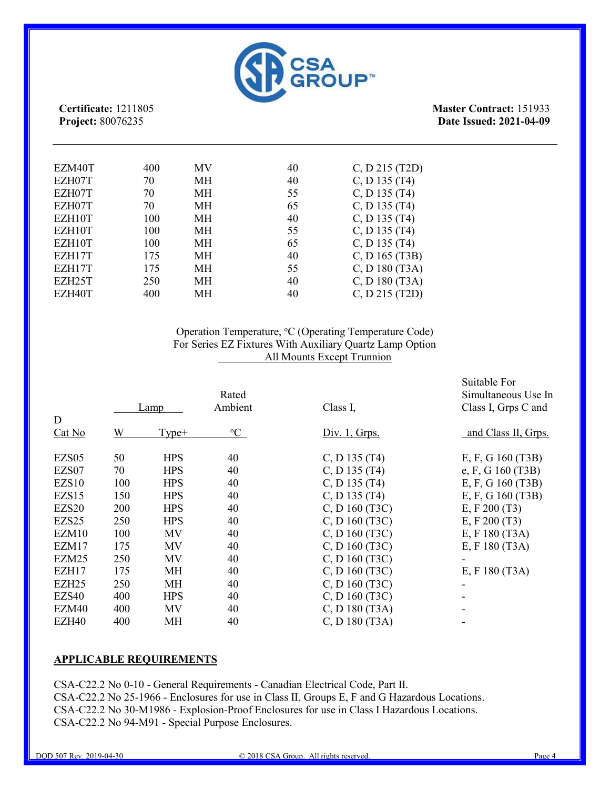

Master Contract: 151933 Date Issued: 2021-04-09

| EZM40T | 400 | MV        | 40 | $C, D$ 215 (T2D) |
|--------|-----|-----------|----|------------------|
| EZH07T | 70  | МH        | 40 | $C, D$ 135 (T4)  |
| EZH07T | 70  | MH        | 55 | C, D $135(T4)$   |
| EZH07T | 70  | МH        | 65 | $C, D$ 135 (T4)  |
| EZH10T | 100 | МH        | 40 | C, D $135(T4)$   |
| EZH10T | 100 | МH        | 55 | $C, D$ 135 (T4)  |
| EZH10T | 100 | <b>MH</b> | 65 | $C, D$ 135 (T4)  |
| EZH17T | 175 | MH        | 40 | C, D 165 (T3B)   |
| EZH17T | 175 | MH        | 55 | $C, D$ 180 (T3A) |
| EZH25T | 250 | MH        | 40 | C, D 180 (T3A)   |
| EZH40T | 400 | MН        | 40 | $C, D$ 215 (T2D) |

#### Operation Temperature, <sup>o</sup>C (Operating Temperature Code) For Series EZ Fixtures With Auxiliary Quartz Lamp Option All Mounts Except Trunnion

|                   |     |            | Rated       |                  | Suitable For<br>Simultaneous Use In |
|-------------------|-----|------------|-------------|------------------|-------------------------------------|
|                   |     | Lamp       | Ambient     | Class I,         | Class I, Grps C and                 |
| D                 |     |            |             |                  |                                     |
| Cat No            | W   | $Type+$    | $\rm ^{o}C$ | Div. 1, Grps.    | and Class II, Grps.                 |
| EZS <sub>05</sub> | 50  | <b>HPS</b> | 40          | $C, D$ 135 (T4)  | E, F, G 160 (T3B)                   |
| EZS07             | 70  | <b>HPS</b> | 40          | $C, D$ 135 (T4)  | e, F, G $160(T3B)$                  |
| EZS <sub>10</sub> | 100 | <b>HPS</b> | 40          | C, D $135(T4)$   | E, F, G 160 (T3B)                   |
| EZS15             | 150 | <b>HPS</b> | 40          | C, D $135(T4)$   | E, F, G 160 (T3B)                   |
| EZS20             | 200 | <b>HPS</b> | 40          | C, D 160 (T3C)   | E, F $200(T3)$                      |
| EZS <sub>25</sub> | 250 | <b>HPS</b> | 40          | C, D 160 (T3C)   | E, F $200(T3)$                      |
| EZM10             | 100 | <b>MV</b>  | 40          | C, D 160 (T3C)   | E, F 180 (T3A)                      |
| EZM17             | 175 | <b>MV</b>  | 40          | C, D160(T3C)     | E, F 180 (T3A)                      |
| EZM25             | 250 | MV         | 40          | C, D160(T3C)     |                                     |
| EZH17             | 175 | MH         | 40          | C, D 160 (T3C)   | E, F 180 (T3A)                      |
| EZH <sub>25</sub> | 250 | MH         | 40          | C, D 160 (T3C)   |                                     |
| EZS40             | 400 | <b>HPS</b> | 40          | C, D 160 (T3C)   |                                     |
| EZM40             | 400 | <b>MV</b>  | 40          | $C, D$ 180 (T3A) |                                     |
| EZH40             | 400 | <b>MH</b>  | 40          | C, D 180 (T3A)   |                                     |

#### APPLICABLE REQUIREMENTS

CSA-C22.2 No 0-10 - General Requirements - Canadian Electrical Code, Part II. CSA-C22.2 No 25-1966 - Enclosures for use in Class II, Groups E, F and G Hazardous Locations. CSA-C22.2 No 30-M1986 - Explosion-Proof Enclosures for use in Class I Hazardous Locations. CSA-C22.2 No 94-M91 - Special Purpose Enclosures.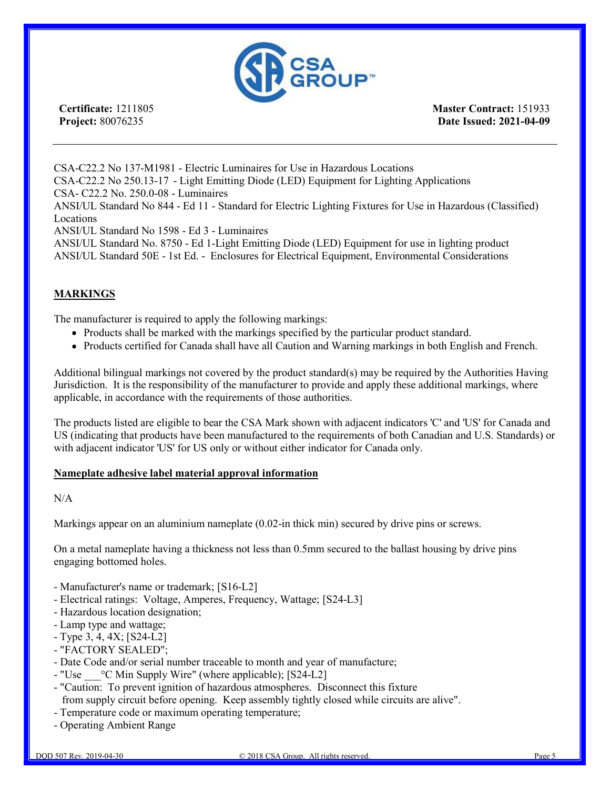

Master Contract: 151933 Date Issued: 2021-04-09

CSA-C22.2 No 137-M1981 - Electric Luminaires for Use in Hazardous Locations CSA-C22.2 No 250.13-17 - Light Emitting Diode (LED) Equipment for Lighting Applications CSA- C22.2 No. 250.0-08 - Luminaires ANSI/UL Standard No 844 - Ed 11 - Standard for Electric Lighting Fixtures for Use in Hazardous (Classified) Locations ANSI/UL Standard No 1598 - Ed 3 - Luminaires ANSI/UL Standard No. 8750 - Ed 1-Light Emitting Diode (LED) Equipment for use in lighting product ANSI/UL Standard 50E - 1st Ed. - Enclosures for Electrical Equipment, Environmental Considerations

#### **MARKINGS**

The manufacturer is required to apply the following markings:

- Products shall be marked with the markings specified by the particular product standard.
- Products certified for Canada shall have all Caution and Warning markings in both English and French.

Additional bilingual markings not covered by the product standard(s) may be required by the Authorities Having Jurisdiction. It is the responsibility of the manufacturer to provide and apply these additional markings, where applicable, in accordance with the requirements of those authorities.

The products listed are eligible to bear the CSA Mark shown with adjacent indicators 'C' and 'US' for Canada and US (indicating that products have been manufactured to the requirements of both Canadian and U.S. Standards) or with adjacent indicator 'US' for US only or without either indicator for Canada only.

#### Nameplate adhesive label material approval information

#### N/A

Markings appear on an aluminium nameplate (0.02-in thick min) secured by drive pins or screws.

On a metal nameplate having a thickness not less than 0.5mm secured to the ballast housing by drive pins engaging bottomed holes.

- Manufacturer's name or trademark; [S16-L2]
- Electrical ratings: Voltage, Amperes, Frequency, Wattage; [S24-L3]
- Hazardous location designation;
- Lamp type and wattage;
- Type 3, 4, 4X; [S24-L2]
- "FACTORY SEALED";
- Date Code and/or serial number traceable to month and year of manufacture;
- $-$  "Use  $\degree$  C Min Supply Wire" (where applicable); [S24-L2]
- "Caution: To prevent ignition of hazardous atmospheres. Disconnect this fixture from supply circuit before opening. Keep assembly tightly closed while circuits are alive".
- Temperature code or maximum operating temperature;
- Operating Ambient Range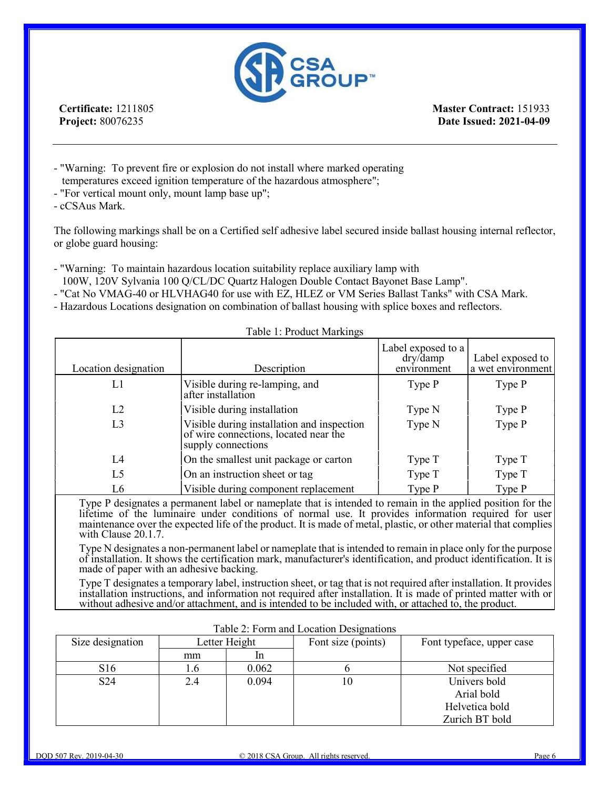

Master Contract: 151933 Date Issued: 2021-04-09

- "Warning: To prevent fire or explosion do not install where marked operating temperatures exceed ignition temperature of the hazardous atmosphere";
- "For vertical mount only, mount lamp base up";

- cCSAus Mark.

The following markings shall be on a Certified self adhesive label secured inside ballast housing internal reflector, or globe guard housing:

- "Warning: To maintain hazardous location suitability replace auxiliary lamp with
- 100W, 120V Sylvania 100 Q/CL/DC Quartz Halogen Double Contact Bayonet Base Lamp".
- "Cat No VMAG-40 or HLVHAG40 for use with EZ, HLEZ or VM Series Ballast Tanks" with CSA Mark.
- Hazardous Locations designation on combination of ballast housing with splice boxes and reflectors.

| Location designation | Description                                                                                               | Label exposed to a<br>dry/damp<br>environment | Label exposed to<br>a wet environment |  |
|----------------------|-----------------------------------------------------------------------------------------------------------|-----------------------------------------------|---------------------------------------|--|
| L1                   | Visible during re-lamping, and<br>after installation                                                      | Type P                                        | Type P                                |  |
| L2                   | Visible during installation                                                                               | Type N                                        | Type P                                |  |
| L3                   | Visible during installation and inspection<br>of wire connections, located near the<br>supply connections | Type N                                        | Type P                                |  |
| L4                   | On the smallest unit package or carton                                                                    | Type T                                        | Type T                                |  |
| L <sub>5</sub>       | On an instruction sheet or tag                                                                            | Type T                                        | Type T                                |  |
| L <sub>6</sub>       | Visible during component replacement                                                                      | Type P                                        | Type P                                |  |

#### Table 1: Product Markings

Type P designates a permanent label or nameplate that is intended to remain in the applied position for the lifetime of the luminaire under conditions of normal use. It provides information required for user maintenance over the expected life of the product. It is made of metal, plastic, or other material that complies with Clause 20.1.7.

Type N designates a non-permanent label or nameplate that is intended to remain in place only for the purpose of installation. It shows the certification mark, manufacturer's identification, and product identification. It is made of paper with an adhesive backing.

Type T designates a temporary label, instruction sheet, or tag that is not required after installation. It provides installation instructions, and information not required after installation. It is made of printed matter with or without adhesive and/or attachment, and is intended to be included with, or attached to, the product.

| Size designation | Letter Height |       | Font size (points) | Font typeface, upper case |
|------------------|---------------|-------|--------------------|---------------------------|
|                  | mm            |       |                    |                           |
| S <sub>16</sub>  | 1.U           | 0.062 |                    | Not specified             |
| S <sub>24</sub>  | 2.4           | 0.094 | 10                 | Univers bold              |
|                  |               |       |                    | Arial bold                |
|                  |               |       |                    | Helvetica bold            |
|                  |               |       |                    | Zurich BT bold            |

| Table 2: Form and Location Designations |  |
|-----------------------------------------|--|
|                                         |  |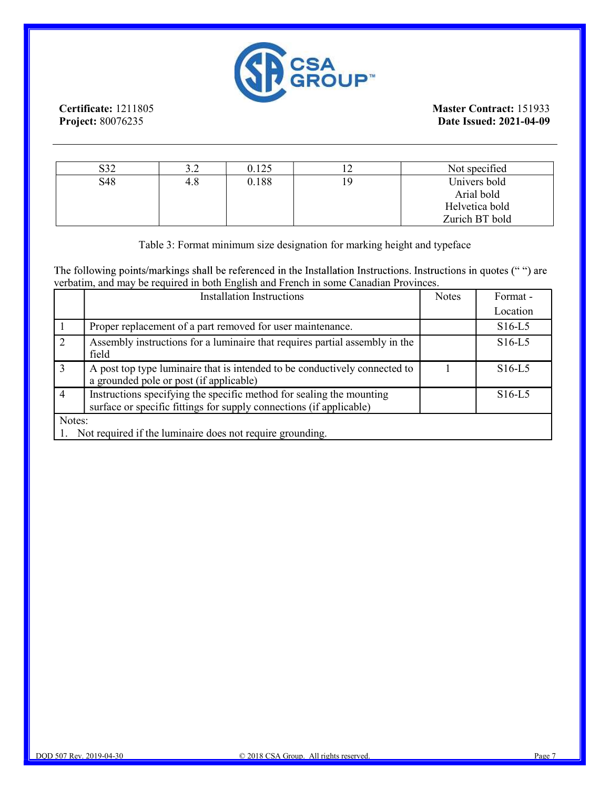

| ຕາາ<br>⊿ں | ے . | 0.125 | Not specified  |
|-----------|-----|-------|----------------|
| S48       | 4.8 | 0.188 | Univers bold   |
|           |     |       | Arial bold     |
|           |     |       | Helvetica bold |
|           |     |       | Zurich BT bold |

Table 3: Format minimum size designation for marking height and typeface

The following points/markings shall be referenced in the Installation Instructions. Instructions in quotes (" ") are verbatim, and may be required in both English and French in some Canadian Provinces.

|                             | <b>Installation Instructions</b>                                                                                                            | <b>Notes</b> | Format - |  |
|-----------------------------|---------------------------------------------------------------------------------------------------------------------------------------------|--------------|----------|--|
|                             |                                                                                                                                             |              | Location |  |
|                             | Proper replacement of a part removed for user maintenance.                                                                                  |              | $S16-L5$ |  |
| $\mathcal{D}_{\mathcal{L}}$ | Assembly instructions for a luminaire that requires partial assembly in the<br>field                                                        |              | $S16-L5$ |  |
| 3                           | A post top type luminaire that is intended to be conductively connected to<br>a grounded pole or post (if applicable)                       |              | $S16-L5$ |  |
| $\overline{4}$              | Instructions specifying the specific method for sealing the mounting<br>surface or specific fittings for supply connections (if applicable) |              | $S16-L5$ |  |
| Notes:                      | 1. Not required if the luminaire does not require grounding.                                                                                |              |          |  |